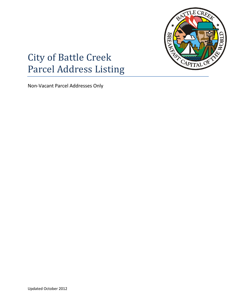

## City of Battle Creek Parcel Address Listing

Non-Vacant Parcel Addresses Only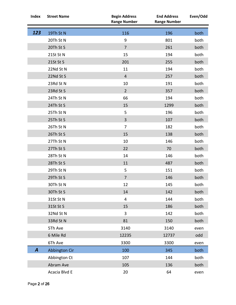| <b>Index</b> | <b>Street Name</b> | <b>Begin Address</b><br><b>Range Number</b> | <b>End Address</b><br><b>Range Number</b> | Even/Odd |
|--------------|--------------------|---------------------------------------------|-------------------------------------------|----------|
| 123          | 19Th St N          | 116                                         | 196                                       | both     |
|              | 20Th St N          | 9                                           | 801                                       | both     |
|              | 20Th St S          | $\overline{7}$                              | 261                                       | both     |
|              | 21St St N          | 15                                          | 194                                       | both     |
|              | 21St St S          | 201                                         | 255                                       | both     |
|              | 22Nd St N          | 11                                          | 194                                       | both     |
|              | 22Nd St S          | $\overline{4}$                              | 257                                       | both     |
|              | 23Rd St N          | 10                                          | 191                                       | both     |
|              | 23Rd St S          | $\overline{2}$                              | 357                                       | both     |
|              | 24Th St N          | 66                                          | 194                                       | both     |
|              | 24Th St S          | 15                                          | 1299                                      | both     |
|              | 25Th St N          | 5                                           | 196                                       | both     |
|              | 25Th St S          | 3                                           | 107                                       | both     |
|              | 26Th St N          | $\overline{7}$                              | 182                                       | both     |
|              | 26Th St S          | 15                                          | 138                                       | both     |
|              | 27Th St N          | 10                                          | 146                                       | both     |
|              | 27Th St S          | 22                                          | 70                                        | both     |
|              | 28Th St N          | 14                                          | 146                                       | both     |
|              | 28Th St S          | 11                                          | 487                                       | both     |
|              | 29Th St N          | 5                                           | 151                                       | both     |
|              | 29Th St S          | $\overline{7}$                              | 146                                       | both     |
|              | 30Th St N          | 12                                          | 145                                       | both     |
|              | 30Th St S          | 14                                          | 142                                       | both     |
|              | 31St St N          | 4                                           | 144                                       | both     |
|              | 31St St S          | 15                                          | 186                                       | both     |
|              | 32Nd St N          | 3                                           | 142                                       | both     |
|              | 33Rd St N          | 81                                          | 150                                       | both     |
|              | 5Th Ave            | 3140                                        | 3140                                      | even     |
|              | 6 Mile Rd          | 12235                                       | 12737                                     | odd      |
|              | 6Th Ave            | 3300                                        | 3300                                      | even     |
| A            | Abbington Cir      | 100                                         | 345                                       | both     |
|              | Abbington Ct       | 107                                         | 144                                       | both     |
|              | Abram Ave          | 105                                         | 136                                       | both     |
|              | Acacia Blvd E      | 20                                          | 64                                        | even     |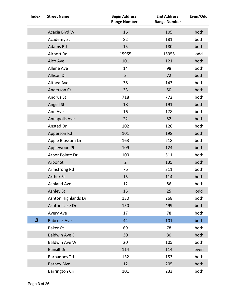| <b>Index</b>     | <b>Street Name</b>    | <b>Begin Address</b><br><b>Range Number</b> | <b>End Address</b><br><b>Range Number</b> | Even/Odd |
|------------------|-----------------------|---------------------------------------------|-------------------------------------------|----------|
|                  | Acacia Blvd W         | 16                                          | 105                                       | both     |
|                  | Academy St            | 82                                          | 181                                       | both     |
|                  | Adams Rd              | 15                                          | 180                                       | both     |
|                  | Airport Rd            | 15955                                       | 15955                                     | odd      |
|                  | Alco Ave              | 101                                         | 121                                       | both     |
|                  | Allene Ave            | 14                                          | 98                                        | both     |
|                  | Allison Dr            | $\overline{3}$                              | 72                                        | both     |
|                  | Althea Ave            | 38                                          | 143                                       | both     |
|                  | Anderson Ct           | 33                                          | 50                                        | both     |
|                  | <b>Andrus St</b>      | 718                                         | 772                                       | both     |
|                  | Angell St             | 18                                          | 191                                       | both     |
|                  | Ann Ave               | 16                                          | 178                                       | both     |
|                  | Annapolis Ave         | 22                                          | 52                                        | both     |
|                  | Ansted Dr             | 102                                         | 126                                       | both     |
|                  | Apperson Rd           | 101                                         | 198                                       | both     |
|                  | Apple Blossom Ln      | 163                                         | 218                                       | both     |
|                  | Applewood Pl          | 109                                         | 124                                       | both     |
|                  | Arbor Pointe Dr       | 100                                         | 511                                       | both     |
|                  | Arbor St              | $\overline{2}$                              | 135                                       | both     |
|                  | Armstrong Rd          | 76                                          | 311                                       | both     |
|                  | <b>Arthur St</b>      | 15                                          | 114                                       | both     |
|                  | <b>Ashland Ave</b>    | 12                                          | 86                                        | both     |
|                  | <b>Ashley St</b>      | 15                                          | 25                                        | odd      |
|                  | Ashton Highlands Dr   | 130                                         | 268                                       | both     |
|                  | Ashton Lake Dr        | 150                                         | 499                                       | both     |
|                  | Avery Ave             | 17                                          | 78                                        | both     |
| $\boldsymbol{B}$ | <b>Babcock Ave</b>    | 44                                          | 101                                       | both     |
|                  | <b>Baker Ct</b>       | 69                                          | 78                                        | both     |
|                  | <b>Baldwin Ave E</b>  | 30                                          | 80                                        | both     |
|                  | Baldwin Ave W         | 20                                          | 105                                       | both     |
|                  | <b>Bansill Dr</b>     | 114                                         | 114                                       | even     |
|                  | <b>Barbadoes Trl</b>  | 132                                         | 153                                       | both     |
|                  | <b>Barney Blvd</b>    | 12                                          | 205                                       | both     |
|                  | <b>Barrington Cir</b> | 101                                         | 233                                       | both     |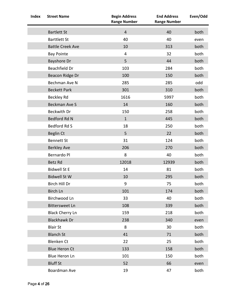| <b>Index</b> | <b>Street Name</b>      | <b>Begin Address</b><br><b>Range Number</b> | <b>End Address</b><br><b>Range Number</b> | Even/Odd |
|--------------|-------------------------|---------------------------------------------|-------------------------------------------|----------|
|              | <b>Bartlett St</b>      | $\overline{4}$                              | 40                                        | both     |
|              | <b>Barttlett St</b>     | 40                                          | 40                                        | even     |
|              | <b>Battle Creek Ave</b> | 10                                          | 313                                       | both     |
|              | <b>Bay Pointe</b>       | 4                                           | 32                                        | both     |
|              | Bayshore Dr             | 5                                           | 44                                        | both     |
|              | Beachfield Dr           | 103                                         | 284                                       | both     |
|              | Beacon Ridge Dr         | 100                                         | 150                                       | both     |
|              | Bechman Ave N           | 285                                         | 285                                       | odd      |
|              | <b>Beckett Park</b>     | 301                                         | 310                                       | both     |
|              | Beckley Rd              | 1616                                        | 5997                                      | both     |
|              | <b>Beckman Ave S</b>    | 14                                          | 160                                       | both     |
|              | <b>Beckwith Dr</b>      | 150                                         | 258                                       | both     |
|              | Bedford Rd N            | $\mathbf{1}$                                | 445                                       | both     |
|              | <b>Bedford Rd S</b>     | 18                                          | 250                                       | both     |
|              | Beglin Ct               | 5                                           | 22                                        | both     |
|              | <b>Bennett St</b>       | 31                                          | 124                                       | both     |
|              | <b>Berkley Ave</b>      | 206                                         | 270                                       | both     |
|              | Bernardo Pl             | 8                                           | 40                                        | both     |
|              | Betz Rd                 | 12018                                       | 12939                                     | both     |
|              | <b>Bidwell St E</b>     | 14                                          | 81                                        | both     |
|              | <b>Bidwell St W</b>     | 10                                          | 295                                       | both     |
|              | Birch Hill Dr           | 9                                           | 75                                        | both     |
|              | Birch Ln                | 101                                         | 174                                       | both     |
|              | Birchwood Ln            | 33                                          | 40                                        | both     |
|              | <b>Bittersweet Ln</b>   | 108                                         | 339                                       | both     |
|              | <b>Black Cherry Ln</b>  | 159                                         | 218                                       | both     |
|              | <b>Blackhawk Dr</b>     | 238                                         | 340                                       | even     |
|              | <b>Blair St</b>         | 8                                           | 30                                        | both     |
|              | <b>Blanch St</b>        | 41                                          | 71                                        | both     |
|              | <b>Blenken Ct</b>       | 22                                          | 25                                        | both     |
|              | <b>Blue Heron Ct</b>    | 133                                         | 158                                       | both     |
|              | <b>Blue Heron Ln</b>    | 101                                         | 150                                       | both     |
|              | <b>Bluff St</b>         | 52                                          | 66                                        | even     |
|              | Boardman Ave            | 19                                          | 47                                        | both     |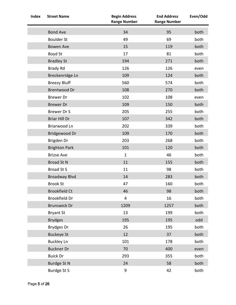| <b>Index</b> | <b>Street Name</b>   | <b>Begin Address</b><br><b>Range Number</b> | <b>End Address</b><br><b>Range Number</b> | Even/Odd |
|--------------|----------------------|---------------------------------------------|-------------------------------------------|----------|
|              | <b>Bond Ave</b>      | 34                                          | 95                                        | both     |
|              | <b>Boulder St</b>    | 49                                          | 69                                        | both     |
|              | Bowen Ave            | 15                                          | 119                                       | both     |
|              | Boyd St              | 17                                          | 81                                        | both     |
|              | <b>Bradley St</b>    | 194                                         | 271                                       | both     |
|              | <b>Brady Rd</b>      | 126                                         | 126                                       | even     |
|              | Breckenridge Ln      | 109                                         | 124                                       | both     |
|              | <b>Breezy Bluff</b>  | 560                                         | 574                                       | both     |
|              | Brentwood Dr         | 108                                         | 270                                       | both     |
|              | <b>Brewer</b> Dr     | 102                                         | 108                                       | even     |
|              | <b>Brewer Dr</b>     | 109                                         | 150                                       | both     |
|              | Brewer Dr S          | 205                                         | 255                                       | both     |
|              | <b>Briar Hill Dr</b> | 107                                         | 342                                       | both     |
|              | Briarwood Ln         | 202                                         | 339                                       | both     |
|              | Bridgewood Dr        | 109                                         | 170                                       | both     |
|              | Brigden Dr           | 203                                         | 268                                       | both     |
|              | <b>Brighton Park</b> | 101                                         | 120                                       | both     |
|              | <b>Brizse Ave</b>    | $\mathbf{1}$                                | 46                                        | both     |
|              | <b>Broad St N</b>    | 11                                          | 155                                       | both     |
|              | <b>Broad St S</b>    | 11                                          | 98                                        | both     |
|              | <b>Broadway Blvd</b> | 14                                          | 283                                       | both     |
|              | <b>Brook St</b>      | 47                                          | 160                                       | both     |
|              | <b>Brookfield Ct</b> | 46                                          | 98                                        | both     |
|              | <b>Brookfield Dr</b> | $\overline{\mathbf{4}}$                     | 16                                        | both     |
|              | <b>Brunswick Dr</b>  | 1209                                        | 1257                                      | both     |
|              | <b>Bryant St</b>     | 13                                          | 199                                       | both     |
|              | <b>Brydges</b>       | 195                                         | 195                                       | odd      |
|              | Brydges Dr           | 26                                          | 195                                       | both     |
|              | <b>Buckeye St</b>    | 12                                          | 37                                        | both     |
|              | <b>Buckley Ln</b>    | 101                                         | 178                                       | both     |
|              | <b>Buckner Dr</b>    | 70                                          | 400                                       | even     |
|              | <b>Buick Dr</b>      | 293                                         | 355                                       | both     |
|              | Burdge St N          | 24                                          | 58                                        | both     |
|              | Burdge St S          | $\boldsymbol{9}$                            | 42                                        | both     |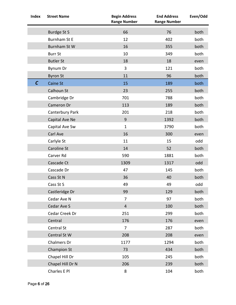| <b>Index</b> | <b>Street Name</b> | <b>Begin Address</b><br><b>Range Number</b> | <b>End Address</b><br><b>Range Number</b> | Even/Odd |
|--------------|--------------------|---------------------------------------------|-------------------------------------------|----------|
|              | Burdge St S        | 66                                          | 76                                        | both     |
|              | Burnham St E       | 12                                          | 402                                       | both     |
|              | Burnham St W       | 16                                          | 355                                       | both     |
|              | <b>Burr St</b>     | 10                                          | 349                                       | both     |
|              | <b>Butler St</b>   | 18                                          | 18                                        | even     |
|              | Bynum Dr           | 3                                           | 121                                       | both     |
|              | <b>Byron St</b>    | 11                                          | 96                                        | both     |
| $\mathcal C$ | Caine St           | 15                                          | 189                                       | both     |
|              | Calhoun St         | 23                                          | 255                                       | both     |
|              | Cambridge Dr       | 701                                         | 788                                       | both     |
|              | Cameron Dr         | 113                                         | 189                                       | both     |
|              | Canterbury Park    | 201                                         | 218                                       | both     |
|              | Capital Ave Ne     | $\overline{9}$                              | 1392                                      | both     |
|              | Capital Ave Sw     | $\mathbf{1}$                                | 3790                                      | both     |
|              | Carl Ave           | 16                                          | 300                                       | even     |
|              | Carlyle St         | 11                                          | 15                                        | odd      |
|              | Caroline St        | 14                                          | 52                                        | both     |
|              | Carver Rd          | 590                                         | 1881                                      | both     |
|              | Cascade Ct         | 1309                                        | 1317                                      | odd      |
|              | Cascade Dr         | 47                                          | 145                                       | both     |
|              | Cass St N          | 36                                          | 40                                        | both     |
|              | Cass St S          | 49                                          | 49                                        | odd      |
|              | Castleridge Dr     | 99                                          | 129                                       | both     |
|              | Cedar Ave N        | 7                                           | 97                                        | both     |
|              | Cedar Ave S        | $\overline{4}$                              | 100                                       | both     |
|              | Cedar Creek Dr     | 251                                         | 299                                       | both     |
|              | Central            | 176                                         | 176                                       | even     |
|              | Central St         | $\overline{7}$                              | 287                                       | both     |
|              | Central St W       | 208                                         | 208                                       | even     |
|              | Chalmers Dr        | 1177                                        | 1294                                      | both     |
|              | Champion St        | 73                                          | 434                                       | both     |
|              | Chapel Hill Dr     | 105                                         | 245                                       | both     |
|              | Chapel Hill Dr N   | 206                                         | 239                                       | both     |
|              | Charles E Pl       | 8                                           | 104                                       | both     |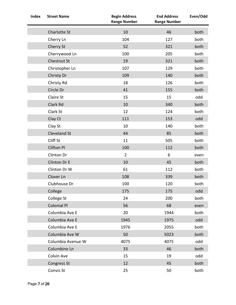| Index | <b>Street Name</b>  | <b>Begin Address</b><br><b>Range Number</b> | <b>End Address</b><br><b>Range Number</b> | Even/Odd |
|-------|---------------------|---------------------------------------------|-------------------------------------------|----------|
|       | <b>Charlotte St</b> | 10                                          | 46                                        | both     |
|       | Cherry Ln           | 104                                         | 127                                       | both     |
|       | Cherry St           | 52                                          | 321                                       | both     |
|       | Cherrywood Ln       | 100                                         | 205                                       | both     |
|       | Chestnut St         | 19                                          | 321                                       | both     |
|       | Christopher Ln      | 107                                         | 129                                       | both     |
|       | Christy Dr          | 109                                         | 140                                       | both     |
|       | Christy Rd          | 18                                          | 126                                       | both     |
|       | Circle Dr           | 41                                          | 155                                       | both     |
|       | <b>Claire St</b>    | 15                                          | 15                                        | odd      |
|       | Clark Rd            | 10                                          | 340                                       | both     |
|       | Clark St            | 12                                          | 124                                       | both     |
|       | Clay Ct             | 111                                         | 153                                       | odd      |
|       | Clay St             | 10                                          | 140                                       | both     |
|       | Cleveland St        | 44                                          | 85                                        | both     |
|       | Cliff St            | 11                                          | 505                                       | both     |
|       | <b>Clifton Pl</b>   | 100                                         | 112                                       | both     |
|       | Clinton Dr          | $\overline{2}$                              | 6                                         | even     |
|       | Clinton Dr E        | 10                                          | 45                                        | both     |
|       | Clinton Dr W        | 61                                          | 112                                       | both     |
|       | Clover Ln           | 108                                         | 339                                       | both     |
|       | Clubhouse Dr        | 100                                         | 120                                       | both     |
|       | College             | 175                                         | 175                                       | odd      |
|       | College St          | 24                                          | 200                                       | both     |
|       | <b>Colonial Pl</b>  | 56                                          | 68                                        | even     |
|       | Columbia Ave E      | 20                                          | 1944                                      | both     |
|       | Columbia Ave E      | 1945                                        | 1975                                      | odd      |
|       | Columbia Ave E      | 1976                                        | 2055                                      | both     |
|       | Columbia Ave W      | 50                                          | 5023                                      | both     |
|       | Columbia Avenue W   | 4075                                        | 4075                                      | odd      |
|       | Columbine Ln        | 33                                          | 46                                        | both     |
|       | Colvin Ave          | 15                                          | 19                                        | odd      |
|       | Congress St         | 12                                          | 45                                        | both     |
|       | Convis St           | 25                                          | 50                                        | both     |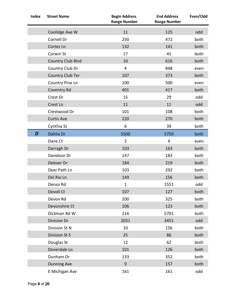| <b>Index</b> | <b>Street Name</b> | <b>Begin Address</b><br><b>Range Number</b> | <b>End Address</b><br><b>Range Number</b> | Even/Odd |
|--------------|--------------------|---------------------------------------------|-------------------------------------------|----------|
|              | Coolidge Ave W     | 11                                          | 125                                       | odd      |
|              | Cornell Dr         | 250                                         | 472                                       | both     |
|              | Cortez Ln          | 132                                         | 141                                       | both     |
|              | Corwin St          | 17                                          | 45                                        | both     |
|              | Country Club Blvd  | 10                                          | 616                                       | both     |
|              | Country Club Dr    | $\overline{4}$                              | 848                                       | even     |
|              | Country Club Ter   | 107                                         | 373                                       | both     |
|              | Country Pine Ln    | 100                                         | 500                                       | even     |
|              | Coventry Rd        | 401                                         | 417                                       | both     |
|              | Crest Dr           | 15                                          | 29                                        | odd      |
|              | Crest Ln           | 11                                          | 11                                        | odd      |
|              | Crestwood Dr       | 101                                         | 108                                       | both     |
|              | <b>Curtis Ave</b>  | 220                                         | 270                                       | both     |
|              | Cynthia St         | 6                                           | 39                                        | both     |
| D            | Dahlia Dr          | 5500                                        | 5750                                      | both     |
|              | Dane Ct            | $\overline{2}$                              | 4                                         | even     |
|              | Darragh Dr         | 103                                         | 163                                       | both     |
|              | Davidson Dr        | 147                                         | 183                                       | both     |
|              | Deboer Dr          | 184                                         | 219                                       | both     |
|              | Deer Path Ln       | 103                                         | 292                                       | both     |
|              | Del Rio Ln         | 149                                         | 156                                       | both     |
|              | Denso Rd           | $\mathbf 1$                                 | 1551                                      | odd      |
|              | Devoll Ct          | 107                                         | 127                                       | both     |
|              | Devon Rd           | 200                                         | 325                                       | both     |
|              | Devonshire Ct      | 106                                         | 123                                       | both     |
|              | Dickman Rd W       | 216                                         | 5701                                      | both     |
|              | Division Dr        | 2031                                        | 3451                                      | odd      |
|              | Division St N      | 10                                          | 156                                       | both     |
|              | Division St S      | 25                                          | 86                                        | both     |
|              | Douglas St         | 12                                          | 62                                        | both     |
|              | Doverdale Ln       | 101                                         | 126                                       | both     |
|              | Dunham Dr          | 133                                         | 352                                       | both     |
|              | <b>Dunning Ave</b> | $\overline{9}$                              | 157                                       | both     |
|              | E Michigan Ave     | 161                                         | 161                                       | odd      |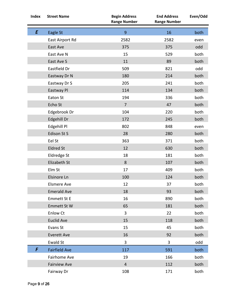| Index | <b>Street Name</b>   | <b>Begin Address</b><br><b>Range Number</b> | <b>End Address</b><br><b>Range Number</b> | Even/Odd |
|-------|----------------------|---------------------------------------------|-------------------------------------------|----------|
| E     | Eagle St             | 9                                           | 16                                        | both     |
|       | East Airport Rd      | 2582                                        | 2582                                      | even     |
|       | East Ave             | 375                                         | 375                                       | odd      |
|       | East Ave N           | 15                                          | 529                                       | both     |
|       | East Ave S           | 11                                          | 89                                        | both     |
|       | Eastfield Dr         | 509                                         | 821                                       | odd      |
|       | Eastway Dr N         | 180                                         | 214                                       | both     |
|       | Eastway Dr S         | 205                                         | 241                                       | both     |
|       | Eastway Pl           | 114                                         | 134                                       | both     |
|       | Eaton St             | 194                                         | 336                                       | both     |
|       | Echo St              | $\overline{7}$                              | 47                                        | both     |
|       | Edgebrook Dr         | 104                                         | 220                                       | both     |
|       | Edgehill Dr          | 172                                         | 245                                       | both     |
|       | Edgehill Pl          | 802                                         | 848                                       | even     |
|       | Edison St S          | 28                                          | 280                                       | both     |
|       | Eel St               | 363                                         | 371                                       | both     |
|       | <b>Eldred St</b>     | 12                                          | 630                                       | both     |
|       | Eldredge St          | 18                                          | 181                                       | both     |
|       | Elizabeth St         | 8                                           | 107                                       | both     |
|       | Elm St               | 17                                          | 409                                       | both     |
|       | Elsinore Ln          | 100                                         | 124                                       | both     |
|       | <b>Elsmere Ave</b>   | 12                                          | 37                                        | both     |
|       | <b>Emerald Ave</b>   | 18                                          | 93                                        | both     |
|       | <b>Emmett St E</b>   | 16                                          | 890                                       | both     |
|       | Emmett St W          | 65                                          | 181                                       | both     |
|       | <b>Enlow Ct</b>      | 3                                           | 22                                        | both     |
|       | <b>Euclid Ave</b>    | 15                                          | 118                                       | both     |
|       | Evans St             | 15                                          | 45                                        | both     |
|       | <b>Everett Ave</b>   | 16                                          | 92                                        | both     |
|       | Ewald St             | 3                                           | 3                                         | odd      |
| F     | <b>Fairfield Ave</b> | 117                                         | 591                                       | both     |
|       | Fairhome Ave         | 19                                          | 166                                       | both     |
|       | <b>Fairview Ave</b>  | $\overline{4}$                              | 112                                       | both     |
|       | Fairway Dr           | 108                                         | 171                                       | both     |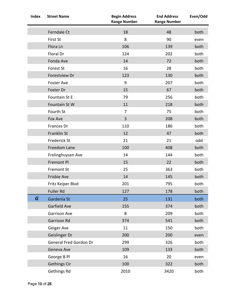| <b>Index</b> | <b>Street Name</b>            | <b>Begin Address</b><br><b>Range Number</b> | <b>End Address</b><br><b>Range Number</b> | Even/Odd |
|--------------|-------------------------------|---------------------------------------------|-------------------------------------------|----------|
|              | Ferndale Ct                   | 18                                          | 48                                        | both     |
|              | First St                      | 8                                           | 90                                        | even     |
|              | Flora Ln                      | 106                                         | 139                                       | both     |
|              | Floral Dr                     | 124                                         | 202                                       | both     |
|              | Fonda Ave                     | 14                                          | 72                                        | both     |
|              | Forest St                     | 16                                          | 28                                        | both     |
|              | Forestview Dr                 | 123                                         | 130                                       | both     |
|              | <b>Foster Ave</b>             | 9                                           | 207                                       | both     |
|              | Foster Dr                     | 15                                          | 67                                        | both     |
|              | Fountain St E                 | 79                                          | 256                                       | both     |
|              | Fountain St W                 | 11                                          | 218                                       | both     |
|              | Fourth St                     | $\overline{7}$                              | 75                                        | both     |
|              | Fox Ave                       | $\overline{3}$                              | 208                                       | both     |
|              | Frances Dr                    | 110                                         | 186                                       | both     |
|              | Franklin St                   | 12                                          | 47                                        | both     |
|              | Frederick St                  | 21                                          | 21                                        | odd      |
|              | Freedom Lane                  | 100                                         | 408                                       | both     |
|              | Frelinghuysen Ave             | 14                                          | 144                                       | both     |
|              | <b>Fremont Pl</b>             | 15                                          | 22                                        | both     |
|              | <b>Fremont St</b>             | 25                                          | 363                                       | both     |
|              | Frisbie Ave                   | 14                                          | 145                                       | both     |
|              | Fritz Keiper Blvd             | 201                                         | 795                                       | both     |
|              | <b>Fuller Rd</b>              | 127                                         | 178                                       | both     |
| G            | Gardenia St                   | 25                                          | 131                                       | both     |
|              | Garfield Ave                  | 155                                         | 374                                       | both     |
|              | <b>Garrison Ave</b>           | 8                                           | 209                                       | both     |
|              | Garrison Rd                   | 374                                         | 541                                       | both     |
|              | Geiger Ave                    | 11                                          | 150                                       | both     |
|              | Geislinger Dr                 | 200                                         | 200                                       | even     |
|              | <b>General Fred Gordon Dr</b> | 299                                         | 326                                       | both     |
|              | Geneva Ave                    | 109                                         | 133                                       | both     |
|              | George B Pl                   | 16                                          | 20                                        | even     |
|              | <b>Gethings Cir</b>           | 100                                         | 322                                       | both     |
|              | Gethings Rd                   | 2010                                        | 3420                                      | both     |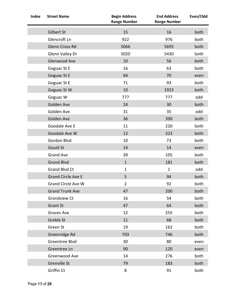| <b>Index</b> | <b>Street Name</b>        | <b>Begin Address</b><br><b>Range Number</b> | <b>End Address</b><br><b>Range Number</b> | Even/Odd |
|--------------|---------------------------|---------------------------------------------|-------------------------------------------|----------|
|              | Gilbert St                | 15                                          | 16                                        | both     |
|              | Glencroft Ln              | 922                                         | 976                                       | both     |
|              | Glenn Cross Rd            | 5066                                        | 5695                                      | both     |
|              | Glenn Valley Dr           | 5020                                        | 5430                                      | both     |
|              | Glenwood Ave              | 10                                          | 56                                        | both     |
|              | Goguac St E               | 16                                          | 63                                        | both     |
|              | Goguac St E               | 64                                          | 70                                        | even     |
|              | Goguac St E               | 71                                          | 93                                        | both     |
|              | Goguac St W               | 10                                          | 1923                                      | both     |
|              | Goguac W                  | 777                                         | 777                                       | odd      |
|              | Golden Ave                | 24                                          | 30                                        | both     |
|              | Golden Ave                | 31                                          | 35                                        | odd      |
|              | Golden Ave                | 36                                          | 390                                       | both     |
|              | Goodale Ave E             | 11                                          | 220                                       | both     |
|              | Goodale Ave W             | 12                                          | 323                                       | both     |
|              | Gordon Blvd               | 10                                          | 73                                        | both     |
|              | Gould St                  | 14                                          | 14                                        | even     |
|              | <b>Grand Ave</b>          | 39                                          | 105                                       | both     |
|              | <b>Grand Blvd</b>         | $\mathbf{1}$                                | 181                                       | both     |
|              | Grand Blvd Ct             | $\mathbf{1}$                                | $\mathbf{1}$                              | odd      |
|              | <b>Grand Circle Ave E</b> | 5                                           | 94                                        | both     |
|              | Grand Circle Ave W        | $\overline{2}$                              | 92                                        | both     |
|              | <b>Grand Trunk Ave</b>    | 47                                          | 200                                       | both     |
|              | <b>Grandview Ct</b>       | 16                                          | 54                                        | both     |
|              | <b>Grant St</b>           | 47                                          | 64                                        | both     |
|              | Graves Ave                | 12                                          | 255                                       | both     |
|              | Greble St                 | 11                                          | 68                                        | both     |
|              | Green St                  | 19                                          | 162                                       | both     |
|              | Greenridge Rd             | 703                                         | 746                                       | both     |
|              | Greentree Blvd            | 30                                          | 80                                        | even     |
|              | Greentree Ln              | 90                                          | 120                                       | even     |
|              | Greenwood Ave             | 14                                          | 276                                       | both     |
|              | <b>Grenville St</b>       | 79                                          | 183                                       | both     |
|              | Griffin Ct                | 8                                           | 91                                        | both     |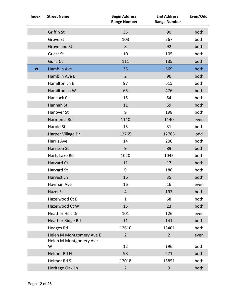| <b>Index</b> | <b>Street Name</b>          | <b>Begin Address</b><br><b>Range Number</b> | <b>End Address</b><br><b>Range Number</b> | Even/Odd |
|--------------|-----------------------------|---------------------------------------------|-------------------------------------------|----------|
|              | <b>Griffin St</b>           | 35                                          | 90                                        | both     |
|              | Grove St                    | 103                                         | 267                                       | both     |
|              | <b>Groveland St</b>         | 8                                           | 92                                        | both     |
|              | <b>Guest St</b>             | 10                                          | 105                                       | both     |
|              | Guila Ct                    | 111                                         | 135                                       | both     |
| H            | <b>Hamblin Ave</b>          | 35                                          | 669                                       | both     |
|              | Hamblin Ave E               | $\overline{2}$                              | 96                                        | both     |
|              | Hamilton Ln E               | 97                                          | 615                                       | both     |
|              | Hamilton Ln W               | 65                                          | 476                                       | both     |
|              | Hancock Ct                  | 15                                          | 54                                        | both     |
|              | Hannah St                   | 11                                          | 69                                        | both     |
|              | Hanover St                  | 9                                           | 198                                       | both     |
|              | Harmonia Rd                 | 1140                                        | 1140                                      | even     |
|              | Harold St                   | 15                                          | 31                                        | both     |
|              | Harper Village Dr           | 12765                                       | 12765                                     | odd      |
|              | Harris Ave                  | 14                                          | 200                                       | both     |
|              | Harrison St                 | 9                                           | 89                                        | both     |
|              | Harts Lake Rd               | 1020                                        | 1045                                      | both     |
|              | Harvard Ct                  | 11                                          | 17                                        | both     |
|              | Harvard St                  | 9                                           | 186                                       | both     |
|              | Harvest Ln                  | 16                                          | 35                                        | both     |
|              | Hayman Ave                  | 16                                          | 16                                        | even     |
|              | Hazel St                    | $\overline{4}$                              | 197                                       | both     |
|              | Hazelwood Ct E              | $\mathbf{1}$                                | 68                                        | both     |
|              | Hazelwood Ct W              | 15                                          | 23                                        | both     |
|              | Heather Hills Dr            | 101                                         | 126                                       | even     |
|              | Heather Ridge Rd            | 11                                          | 141                                       | both     |
|              | <b>Hedges Rd</b>            | 12610                                       | 13401                                     | both     |
|              | Helen M Montgomery Ave E    | $\overline{2}$                              | $\overline{2}$                            | even     |
|              | Helen M Montgomery Ave<br>W | 12                                          | 196                                       | both     |
|              | Helmer Rd N                 | 98                                          | 271                                       | both     |
|              | Helmer Rd S                 | 12018                                       | 15851                                     | both     |
|              | Heritage Oak Ln             | $\overline{2}$                              | $\boldsymbol{9}$                          | both     |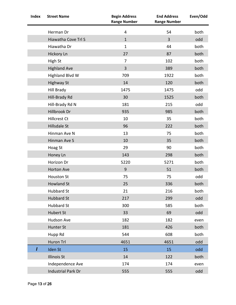| <b>Index</b> | <b>Street Name</b>        | <b>Begin Address</b><br><b>Range Number</b> | <b>End Address</b><br><b>Range Number</b> | Even/Odd |
|--------------|---------------------------|---------------------------------------------|-------------------------------------------|----------|
|              | Herman Dr                 | 4                                           | 54                                        | both     |
|              | Hiawatha Cove Trl S       | $\mathbf{1}$                                | 3                                         | odd      |
|              | Hiawatha Dr               | $\mathbf{1}$                                | 44                                        | both     |
|              | Hickory Ln                | 27                                          | 87                                        | both     |
|              | High St                   | 7                                           | 102                                       | both     |
|              | <b>Highland Ave</b>       | $\overline{3}$                              | 389                                       | both     |
|              | <b>Highland Blvd W</b>    | 709                                         | 1922                                      | both     |
|              | <b>Highway St</b>         | 14                                          | 120                                       | both     |
|              | Hill Brady                | 1475                                        | 1475                                      | odd      |
|              | Hill-Brady Rd             | 30                                          | 1525                                      | both     |
|              | Hill-Brady Rd N           | 181                                         | 215                                       | odd      |
|              | Hillbrook Dr              | 935                                         | 985                                       | both     |
|              | <b>Hillcrest Ct</b>       | 10                                          | 35                                        | both     |
|              | Hillsdale St              | 96                                          | 222                                       | both     |
|              | Hinman Ave N              | 13                                          | 75                                        | both     |
|              | Hinman Ave S              | 10                                          | 35                                        | both     |
|              | Hoag St                   | 29                                          | 90                                        | both     |
|              | Honey Ln                  | 143                                         | 298                                       | both     |
|              | Horizon Dr                | 5220                                        | 5271                                      | both     |
|              | Horton Ave                | 9                                           | 51                                        | both     |
|              | <b>Houston St</b>         | 75                                          | 75                                        | odd      |
|              | <b>Howland St</b>         | 25                                          | 336                                       | both     |
|              | <b>Hubbard St</b>         | 21                                          | 216                                       | both     |
|              | <b>Hubbard St</b>         | 217                                         | 299                                       | odd      |
|              | <b>Hubbard St</b>         | 300                                         | 585                                       | both     |
|              | Hubert St                 | 33                                          | 69                                        | odd      |
|              | <b>Hudson Ave</b>         | 182                                         | 182                                       | even     |
|              | Hunter St                 | 181                                         | 426                                       | both     |
|              | Hupp Rd                   | 544                                         | 608                                       | both     |
|              | Huron Trl                 | 4651                                        | 4651                                      | odd      |
| I            | Iden St                   | 15                                          | 15                                        | odd      |
|              | <b>Illinois St</b>        | 14                                          | 122                                       | both     |
|              | Independence Ave          | 174                                         | 174                                       | even     |
|              | <b>Industrial Park Dr</b> | 555                                         | 555                                       | odd      |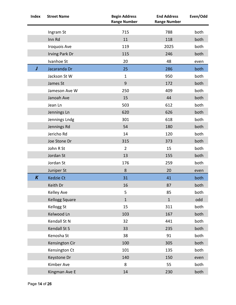| <b>Index</b>     | <b>Street Name</b>    | <b>Begin Address</b><br><b>Range Number</b> | <b>End Address</b><br><b>Range Number</b> | Even/Odd |
|------------------|-----------------------|---------------------------------------------|-------------------------------------------|----------|
|                  | Ingram St             | 715                                         | 788                                       | both     |
|                  | Inn Rd                | 11                                          | 118                                       | both     |
|                  | Iroquois Ave          | 119                                         | 2025                                      | both     |
|                  | Irving Park Dr        | 115                                         | 246                                       | both     |
|                  | Ivanhoe St            | 20                                          | 48                                        | even     |
| J                | Jacaranda Dr          | 25                                          | 286                                       | both     |
|                  | Jackson St W          | $\mathbf{1}$                                | 950                                       | both     |
|                  | James St              | 9                                           | 172                                       | both     |
|                  | Jameson Ave W         | 250                                         | 409                                       | both     |
|                  | Janoah Ave            | 15                                          | 44                                        | both     |
|                  | Jean Ln               | 503                                         | 612                                       | both     |
|                  | Jennings Ln           | 620                                         | 626                                       | both     |
|                  | Jennings Lndg         | 301                                         | 618                                       | both     |
|                  | Jennings Rd           | 54                                          | 180                                       | both     |
|                  | Jericho Rd            | 14                                          | 120                                       | both     |
|                  | Joe Stone Dr          | 315                                         | 373                                       | both     |
|                  | John R St             | $\overline{2}$                              | 15                                        | both     |
|                  | Jordan St             | 13                                          | 155                                       | both     |
|                  | Jordan St             | 176                                         | 259                                       | both     |
|                  | Juniper St            | 8                                           | 20                                        | even     |
| $\boldsymbol{K}$ | Kedzie Ct             | 31                                          | 41                                        | both     |
|                  | Keith Dr              | 16                                          | 87                                        | both     |
|                  | Kelley Ave            | 5                                           | 85                                        | both     |
|                  | <b>Kellogg Square</b> | $\mathbf{1}$                                | $\mathbf{1}$                              | odd      |
|                  | Kellogg St            | 15                                          | 311                                       | both     |
|                  | Kelwood Ln            | 103                                         | 167                                       | both     |
|                  | Kendall St N          | 32                                          | 441                                       | both     |
|                  | Kendall St S          | 33                                          | 235                                       | both     |
|                  | Kenosha St            | 38                                          | 91                                        | both     |
|                  | Kensington Cir        | 100                                         | 305                                       | both     |
|                  | Kensington Ct         | 101                                         | 135                                       | both     |
|                  | <b>Keystone Dr</b>    | 140                                         | 150                                       | even     |
|                  | Kimber Ave            | 8                                           | 55                                        | both     |
|                  | Kingman Ave E         | 14                                          | 230                                       | both     |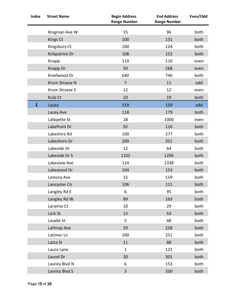| <b>Index</b> | <b>Street Name</b> | <b>Begin Address</b><br><b>Range Number</b> | <b>End Address</b><br><b>Range Number</b> | Even/Odd |
|--------------|--------------------|---------------------------------------------|-------------------------------------------|----------|
|              | Kingman Ave W      | 15                                          | 96                                        | both     |
|              | Kings Ct           | 100                                         | 131                                       | both     |
|              | Kingsbury Ct       | 100                                         | 124                                       | both     |
|              | Kirkpatrick Dr     | 108                                         | 152                                       | both     |
|              | Knapp              | 110                                         | 110                                       | even     |
|              | Knapp Dr           | 50                                          | 268                                       | even     |
|              | Knollwood Dr       | 640                                         | 746                                       | both     |
|              | Krum Strasse N     | $\overline{7}$                              | 11                                        | odd      |
|              | Krum Strasse S     | 12                                          | 12                                        | even     |
|              | Kulp Ct            | 10                                          | 19                                        | both     |
| L            | Lacey              | 159                                         | 159                                       | odd      |
|              | Lacey Ave          | 118                                         | 179                                       | both     |
|              | Lafayette St       | 18                                          | 1000                                      | even     |
|              | Lakefront Dr       | 92                                          | 116                                       | both     |
|              | Lakeshire Rd       | 100                                         | 277                                       | both     |
|              | Lakeshore Dr       | 209                                         | 351                                       | both     |
|              | Lakeside Dr        | 12                                          | 64                                        | both     |
|              | Lakeside Dr S      | 1102                                        | 1206                                      | both     |
|              | Lakeview Ave       | 124                                         | 1338                                      | both     |
|              | Lakewood Dr        | 104                                         | 153                                       | both     |
|              | Lamora Ave         | 15                                          | 159                                       | both     |
|              | Lancaster Cir      | 106                                         | 111                                       | both     |
|              | Langley Rd E       | 6                                           | 95                                        | both     |
|              | Langley Rd W       | 89                                          | 163                                       | both     |
|              | Laramie Ct         | 10                                          | 29                                        | both     |
|              | Lark St            | 15                                          | 53                                        | both     |
|              | Lasalle St         | 5                                           | 48                                        | both     |
|              | Lathrop Ave        | 29                                          | 258                                       | both     |
|              | Latimer Ln         | 200                                         | 251                                       | both     |
|              | Latta St           | 11                                          | 88                                        | both     |
|              | Laura Lane         | $\mathbf{1}$                                | 122                                       | both     |
|              | Laurel Dr          | 20                                          | 301                                       | both     |
|              | Lavista Blvd N     | 6                                           | 153                                       | both     |
|              | Lavista Blvd S     | $\overline{3}$                              | 350                                       | both     |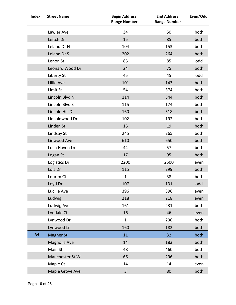| <b>Index</b> | <b>Street Name</b> | <b>Begin Address</b><br><b>Range Number</b> | <b>End Address</b><br><b>Range Number</b> | Even/Odd |
|--------------|--------------------|---------------------------------------------|-------------------------------------------|----------|
|              | Lawler Ave         | 34                                          | 50                                        | both     |
|              | Leitch Dr          | 15                                          | 85                                        | both     |
|              | Leland Dr N        | 104                                         | 153                                       | both     |
|              | Leland Dr S        | 202                                         | 264                                       | both     |
|              | Lenon St           | 85                                          | 85                                        | odd      |
|              | Leonard Wood Dr    | 24                                          | 75                                        | both     |
|              | Liberty St         | 45                                          | 45                                        | odd      |
|              | Lillie Ave         | 101                                         | 143                                       | both     |
|              | Limit St           | 54                                          | 374                                       | both     |
|              | Lincoln Blvd N     | 114                                         | 344                                       | both     |
|              | Lincoln Blvd S     | 115                                         | 174                                       | both     |
|              | Lincoln Hill Dr    | 160                                         | 518                                       | both     |
|              | Lincolnwood Dr     | 102                                         | 192                                       | both     |
|              | Linden St          | 15                                          | 19                                        | both     |
|              | Lindsay St         | 245                                         | 265                                       | both     |
|              | Linwood Ave        | 610                                         | 650                                       | both     |
|              | Loch Haven Ln      | 44                                          | 57                                        | both     |
|              | Logan St           | 17                                          | 95                                        | both     |
|              | Logistics Dr       | 2200                                        | 2500                                      | even     |
|              | Lois Dr            | 115                                         | 299                                       | both     |
|              | Lourim Ct          | $\mathbf{1}$                                | 38                                        | both     |
|              | Loyd Dr            | 107                                         | 131                                       | odd      |
|              | Lucille Ave        | 396                                         | 396                                       | even     |
|              | Ludwig             | 218                                         | 218                                       | even     |
|              | Ludwig Ave         | 161                                         | 231                                       | both     |
|              | Lyndale Ct         | 16                                          | 46                                        | even     |
|              | Lynwood Dr         | $\mathbf{1}$                                | 236                                       | both     |
|              | Lynwood Ln         | 160                                         | 182                                       | both     |
| M            | <b>Magner St</b>   | 11                                          | 32                                        | both     |
|              | Magnolia Ave       | 14                                          | 183                                       | both     |
|              | Main St            | 48                                          | 460                                       | both     |
|              | Manchester St W    | 66                                          | 296                                       | both     |
|              | Maple Ct           | 14                                          | 14                                        | even     |
|              | Maple Grove Ave    | 3                                           | 80                                        | both     |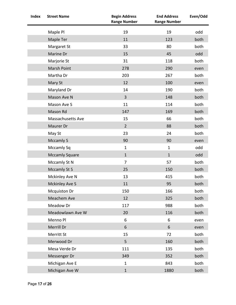| <b>Index</b> | <b>Street Name</b>    | <b>Begin Address</b><br><b>Range Number</b> | <b>End Address</b><br><b>Range Number</b> | Even/Odd |
|--------------|-----------------------|---------------------------------------------|-------------------------------------------|----------|
|              | Maple Pl              | 19                                          | 19                                        | odd      |
|              | Maple Ter             | 11                                          | 123                                       | both     |
|              | Margaret St           | 33                                          | 80                                        | both     |
|              | Marine Dr             | 15                                          | 45                                        | odd      |
|              | Marjorie St           | 31                                          | 118                                       | both     |
|              | <b>Marsh Point</b>    | 278                                         | 290                                       | even     |
|              | Martha Dr             | 203                                         | 267                                       | both     |
|              | Mary St               | 12                                          | 100                                       | even     |
|              | Maryland Dr           | 14                                          | 190                                       | both     |
|              | Mason Ave N           | $\overline{3}$                              | 148                                       | both     |
|              | Mason Ave S           | 11                                          | 114                                       | both     |
|              | Mason Rd              | 147                                         | 169                                       | both     |
|              | Massachusetts Ave     | 15                                          | 66                                        | both     |
|              | Maurer Dr             | $2^{\circ}$                                 | 88                                        | both     |
|              | May St                | 23                                          | 24                                        | both     |
|              | <b>Mccamly S</b>      | 90                                          | 90                                        | even     |
|              | Mccamly Sq            | $\mathbf{1}$                                | $\mathbf{1}$                              | odd      |
|              | <b>Mccamly Square</b> | $\mathbf{1}$                                | $\mathbf{1}$                              | odd      |
|              | Mccamly St N          | $\overline{7}$                              | 57                                        | both     |
|              | <b>Mccamly St S</b>   | 25                                          | 150                                       | both     |
|              | Mckinley Ave N        | 13                                          | 415                                       | both     |
|              | <b>Mckinley Ave S</b> | 11                                          | 95                                        | both     |
|              | <b>Mcquiston Dr</b>   | 150                                         | 166                                       | both     |
|              | Meachem Ave           | 12                                          | 325                                       | both     |
|              | Meadow Dr             | 117                                         | 988                                       | both     |
|              | Meadowlawn Ave W      | 20                                          | 116                                       | both     |
|              | Menno Pl              | 6                                           | 6                                         | even     |
|              | Merrill Dr            | 6                                           | 6                                         | even     |
|              | Merritt St            | 15                                          | 72                                        | both     |
|              | Merwood Dr            | 5                                           | 160                                       | both     |
|              | Mesa Verde Dr         | 111                                         | 135                                       | both     |
|              | Messenger Dr          | 349                                         | 352                                       | both     |
|              | Michigan Ave E        | $\mathbf{1}$                                | 843                                       | both     |
|              | Michigan Ave W        | $\mathbf{1}$                                | 1880                                      | both     |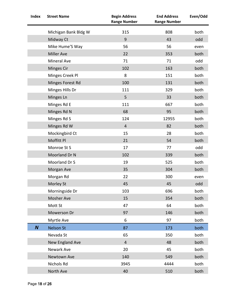| <b>Index</b>     | <b>Street Name</b>   | <b>Begin Address</b><br><b>Range Number</b> | <b>End Address</b><br><b>Range Number</b> | Even/Odd |
|------------------|----------------------|---------------------------------------------|-------------------------------------------|----------|
|                  | Michigan Bank Bldg W | 315                                         | 808                                       | both     |
|                  | Midway Ct            | 9                                           | 43                                        | odd      |
|                  | Mike Hume'S Way      | 56                                          | 56                                        | even     |
|                  | <b>Miller Ave</b>    | 22                                          | 353                                       | both     |
|                  | Mineral Ave          | 71                                          | 71                                        | odd      |
|                  | Minges Cir           | 102                                         | 163                                       | both     |
|                  | Minges Creek Pl      | 8                                           | 151                                       | both     |
|                  | Minges Forest Rd     | 100                                         | 131                                       | both     |
|                  | Minges Hills Dr      | 111                                         | 329                                       | both     |
|                  | Minges Ln            | 5                                           | 33                                        | both     |
|                  | Minges Rd E          | 111                                         | 667                                       | both     |
|                  | Minges Rd N          | 68                                          | 95                                        | both     |
|                  | Minges Rd S          | 124                                         | 12955                                     | both     |
|                  | Minges Rd W          | $\overline{4}$                              | 82                                        | both     |
|                  | Mockingbird Ct       | 15                                          | 28                                        | both     |
|                  | Moffitt Pl           | 21                                          | 54                                        | both     |
|                  | Monroe St S          | 17                                          | 77                                        | odd      |
|                  | Moorland Dr N        | 102                                         | 339                                       | both     |
|                  | Moorland Dr S        | 19                                          | 525                                       | both     |
|                  | Morgan Ave           | 35                                          | 304                                       | both     |
|                  | Morgan Rd            | 22                                          | 300                                       | even     |
|                  | Morley St            | 45                                          | 45                                        | odd      |
|                  | Morningside Dr       | 103                                         | 696                                       | both     |
|                  | Mosher Ave           | 15                                          | 354                                       | both     |
|                  | Mott St              | 47                                          | 64                                        | both     |
|                  | Mowerson Dr          | 97                                          | 146                                       | both     |
|                  | Myrtle Ave           | 6                                           | 97                                        | both     |
| $\boldsymbol{N}$ | <b>Nelson St</b>     | 87                                          | 173                                       | both     |
|                  | Nevada St            | 65                                          | 350                                       | both     |
|                  | New England Ave      | $\overline{4}$                              | 48                                        | both     |
|                  | Newark Ave           | 20                                          | 45                                        | both     |
|                  | Newtown Ave          | 140                                         | 549                                       | both     |
|                  | Nichols Rd           | 3945                                        | 4444                                      | both     |
|                  | North Ave            | 40                                          | 510                                       | both     |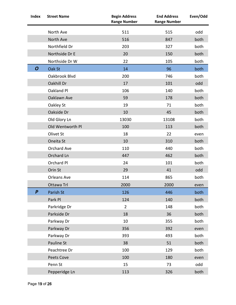| <b>Index</b>     | <b>Street Name</b> | <b>Begin Address</b><br><b>Range Number</b> | <b>End Address</b><br><b>Range Number</b> | Even/Odd |
|------------------|--------------------|---------------------------------------------|-------------------------------------------|----------|
|                  | North Ave          | 511                                         | 515                                       | odd      |
|                  | North Ave          | 516                                         | 847                                       | both     |
|                  | Northfield Dr      | 203                                         | 327                                       | both     |
|                  | Northside Dr E     | 20                                          | 150                                       | both     |
|                  | Northside Dr W     | 22                                          | 105                                       | both     |
| O                | Oak St             | 14                                          | 96                                        | both     |
|                  | Oakbrook Blvd      | 200                                         | 746                                       | both     |
|                  | Oakhill Dr         | 17                                          | 101                                       | odd      |
|                  | Oakland Pl         | 106                                         | 140                                       | both     |
|                  | Oaklawn Ave        | 59                                          | 178                                       | both     |
|                  | Oakley St          | 19                                          | 71                                        | both     |
|                  | Oakside Dr         | 10                                          | 45                                        | both     |
|                  | Old Glory Ln       | 13030                                       | 13108                                     | both     |
|                  | Old Wentworth Pl   | 100                                         | 113                                       | both     |
|                  | Olivet St          | 18                                          | 22                                        | even     |
|                  | Oneita St          | 10                                          | 310                                       | both     |
|                  | Orchard Ave        | 110                                         | 440                                       | both     |
|                  | Orchard Ln         | 447                                         | 462                                       | both     |
|                  | Orchard Pl         | 24                                          | 101                                       | both     |
|                  | Orin St            | 29                                          | 41                                        | odd      |
|                  | Orleans Ave        | 114                                         | 865                                       | both     |
|                  | Ottawa Trl         | 2000                                        | 2000                                      | even     |
| $\boldsymbol{P}$ | Parish St          | 126                                         | 446                                       | both     |
|                  | Park Pl            | 124                                         | 140                                       | both     |
|                  | Parkridge Dr       | $\overline{2}$                              | 148                                       | both     |
|                  | Parkside Dr        | 18                                          | 36                                        | both     |
|                  | Parkway Dr         | 10                                          | 355                                       | both     |
|                  | Parkway Dr         | 356                                         | 392                                       | even     |
|                  | Parkway Dr         | 393                                         | 493                                       | both     |
|                  | Pauline St         | 38                                          | 51                                        | both     |
|                  | Peachtree Dr       | 100                                         | 129                                       | both     |
|                  | <b>Peets Cove</b>  | 100                                         | 180                                       | even     |
|                  | Penn St            | 15                                          | 73                                        | odd      |
|                  | Pepperidge Ln      | 113                                         | 326                                       | both     |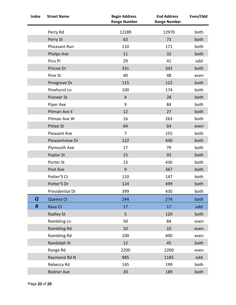| <b>Index</b>     | <b>Street Name</b>  | <b>Begin Address</b><br><b>Range Number</b> | <b>End Address</b><br><b>Range Number</b> | Even/Odd |
|------------------|---------------------|---------------------------------------------|-------------------------------------------|----------|
|                  | Perry Rd            | 12289                                       | 12970                                     | both     |
|                  | Perry St            | 63                                          | 73                                        | both     |
|                  | Pheasant Run        | 110                                         | 171                                       | both     |
|                  | Phelps Ave          | 11                                          | 32                                        | both     |
|                  | Pico Pl             | 29                                          | 41                                        | odd      |
|                  | Pincoe Dr           | 331                                         | 342                                       | both     |
|                  | Pine St             | 40                                          | 48                                        | even     |
|                  | Pinegrove Dr        | 115                                         | 122                                       | both     |
|                  | Pinehurst Ln        | 100                                         | 174                                       | both     |
|                  | Pioneer St          | $\overline{4}$                              | 28                                        | both     |
|                  | Piper Ave           | 9                                           | 84                                        | both     |
|                  | Pitman Ave E        | 12                                          | 27                                        | both     |
|                  | Pitman Ave W        | 16                                          | 263                                       | both     |
|                  | Pittee St           | 64                                          | 64                                        | even     |
|                  | <b>Pleasant Ave</b> | $\overline{7}$                              | 155                                       | both     |
|                  | Pleasantview Dr     | 122                                         | 446                                       | both     |
|                  | Plymouth Ave        | 17                                          | 79                                        | both     |
|                  | Poplar St           | 15                                          | 93                                        | both     |
|                  | Porter St           | 13                                          | 436                                       | both     |
|                  | Post Ave            | $\overline{9}$                              | 367                                       | both     |
|                  | Potter'S Ct         | 110                                         | 147                                       | both     |
|                  | Potter'S Dr         | 124                                         | 499                                       | both     |
|                  | Presidential Dr     | 399                                         | 430                                       | both     |
| Q                | Queens Ct           | 244                                         | 274                                       | both     |
| $\boldsymbol{R}$ | Race Ct             | 17                                          | 17                                        | odd      |
|                  | <b>Radley St</b>    | 5                                           | 120                                       | both     |
|                  | Rambling Ln         | 50                                          | 84                                        | even     |
|                  | <b>Rambling Rd</b>  | 10                                          | 10                                        | even     |
|                  | Rambling Rd         | 100                                         | 400                                       | even     |
|                  | Randolph St         | 12                                          | 45                                        | both     |
|                  | Range Rd            | 2200                                        | 2200                                      | even     |
|                  | Raymond Rd N        | 985                                         | 1185                                      | odd      |
|                  | Rebecca Rd          | 145                                         | 199                                       | both     |
|                  | Redner Ave          | 20                                          | 189                                       | both     |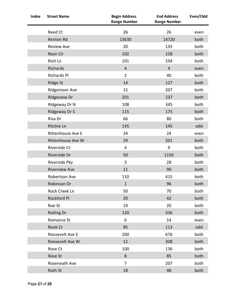| <b>Index</b> | <b>Street Name</b>       | <b>Begin Address</b><br><b>Range Number</b> | <b>End Address</b><br><b>Range Number</b> | Even/Odd |
|--------------|--------------------------|---------------------------------------------|-------------------------------------------|----------|
|              | Reed Ct                  | 26                                          | 26                                        | even     |
|              | Renton Rd                | 13630                                       | 14720                                     | both     |
|              | <b>Review Ave</b>        | 20                                          | 135                                       | both     |
|              | Reyn Cir                 | 102                                         | 158                                       | both     |
|              | Rich Ln                  | 101                                         | 104                                       | both     |
|              | Richards                 | $\overline{4}$                              | $\overline{4}$                            | even     |
|              | <b>Richards Pl</b>       | $\overline{2}$                              | 40                                        | both     |
|              | <b>Ridge St</b>          | 14                                          | 127                                       | both     |
|              | Ridgemoor Ave            | 15                                          | 207                                       | both     |
|              | <b>Ridgeview Dr</b>      | 201                                         | 237                                       | both     |
|              | Ridgeway Dr N            | 108                                         | 345                                       | both     |
|              | Ridgeway Dr S            | 115                                         | 175                                       | both     |
|              | Risa Dr                  | 66                                          | 80                                        | both     |
|              | Ritchie Ln               | 145                                         | 145                                       | odd      |
|              | Rittenhouse Ave E        | 24                                          | 24                                        | even     |
|              | <b>Rittenhouse Ave W</b> | 29                                          | 201                                       | both     |
|              | Riverside Ct             | $\overline{4}$                              | 9                                         | both     |
|              | Riverside Dr             | 50                                          | 1150                                      | both     |
|              | Riverside Pky            | 3                                           | 28                                        | both     |
|              | <b>Riverview Ave</b>     | 11                                          | 90                                        | both     |
|              | Robertson Ave            | 110                                         | 415                                       | both     |
|              | Robinson Dr              | $\mathbf{1}$                                | 96                                        | both     |
|              | Rock Creek Ln            | 50                                          | 70                                        | both     |
|              | Rockford Pl              | 20                                          | 42                                        | both     |
|              | Roe St                   | 10                                          | 20                                        | both     |
|              | <b>Rolling Dr</b>        | 120                                         | 336                                       | both     |
|              | Romance St               | 6                                           | 14                                        | even     |
|              | Rook Ct                  | 85                                          | 113                                       | odd      |
|              | Roosevelt Ave E          | 200                                         | 676                                       | both     |
|              | Roosevelt Ave W          | 12                                          | 308                                       | both     |
|              | Rose Ct                  | 100                                         | 136                                       | both     |
|              | Rose St                  | 8                                           | 85                                        | both     |
|              | Roseneath Ave            | $\overline{7}$                              | 207                                       | both     |
|              | Roth St                  | 18                                          | 48                                        | both     |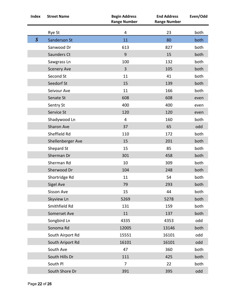| <b>Index</b> | <b>Street Name</b> | <b>Begin Address</b><br><b>Range Number</b> | <b>End Address</b><br><b>Range Number</b> | Even/Odd |
|--------------|--------------------|---------------------------------------------|-------------------------------------------|----------|
|              | Rye St             | $\overline{4}$                              | 23                                        | both     |
| $\mathsf S$  | Sanderson St       | 11                                          | 80                                        | both     |
|              | Sanwood Dr         | 613                                         | 827                                       | both     |
|              | Saunders Ct        | 9                                           | 15                                        | both     |
|              | Sawgrass Ln        | 100                                         | 132                                       | both     |
|              | <b>Scenery Ave</b> | $\overline{3}$                              | 105                                       | both     |
|              | Second St          | 11                                          | 41                                        | both     |
|              | Seedorf St         | 15                                          | 139                                       | both     |
|              | Seivour Ave        | 11                                          | 166                                       | both     |
|              | Senate St          | 608                                         | 608                                       | even     |
|              | Sentry St          | 400                                         | 400                                       | even     |
|              | Service St         | 120                                         | 120                                       | even     |
|              | Shadywood Ln       | $\overline{4}$                              | 160                                       | both     |
|              | <b>Sharon Ave</b>  | 37                                          | 65                                        | odd      |
|              | Sheffield Rd       | 110                                         | 172                                       | both     |
|              | Shellenberger Ave  | 15                                          | 201                                       | both     |
|              | Shepard St         | 15                                          | 85                                        | both     |
|              | Sherman Dr         | 301                                         | 458                                       | both     |
|              | Sherman Rd         | 10                                          | 309                                       | both     |
|              | Sherwood Dr        | 104                                         | 248                                       | both     |
|              | Shortridge Rd      | 11                                          | 54                                        | both     |
|              | <b>Sigel Ave</b>   | 79                                          | 293                                       | both     |
|              | Sisson Ave         | 15                                          | 44                                        | both     |
|              | Skyview Ln         | 5269                                        | 5278                                      | both     |
|              | Smithfield Rd      | 131                                         | 159                                       | both     |
|              | Somerset Ave       | 11                                          | 137                                       | both     |
|              | Songbird Ln        | 4335                                        | 4353                                      | odd      |
|              | Sonoma Rd          | 12005                                       | 13146                                     | both     |
|              | South Airport Rd   | 15551                                       | 16101                                     | odd      |
|              | South Ariport Rd   | 16101                                       | 16101                                     | odd      |
|              | South Ave          | 47                                          | 360                                       | both     |
|              | South Hills Dr     | 111                                         | 425                                       | both     |
|              | South Pl           | $\overline{7}$                              | 22                                        | both     |
|              | South Shore Dr     | 391                                         | 395                                       | odd      |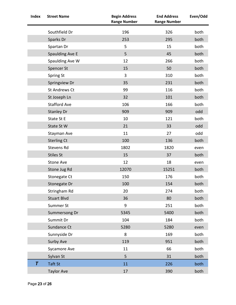| <b>Index</b> | <b>Street Name</b>   | <b>Begin Address</b><br><b>Range Number</b> | <b>End Address</b><br><b>Range Number</b> | Even/Odd |
|--------------|----------------------|---------------------------------------------|-------------------------------------------|----------|
|              | Southfield Dr        | 196                                         | 326                                       | both     |
|              | Sparks Dr            | 253                                         | 295                                       | both     |
|              | Spartan Dr           | 5                                           | 15                                        | both     |
|              | Spaulding Ave E      | 5                                           | 45                                        | both     |
|              | Spaulding Ave W      | 12                                          | 266                                       | both     |
|              | Spencer St           | 15                                          | 50                                        | both     |
|              | Spring St            | 3                                           | 310                                       | both     |
|              | Springview Dr        | 35                                          | 231                                       | both     |
|              | <b>St Andrews Ct</b> | 99                                          | 116                                       | both     |
|              | St Joseph Ln         | 32                                          | 101                                       | both     |
|              | <b>Stafford Ave</b>  | 106                                         | 166                                       | both     |
|              | <b>Stanley Dr</b>    | 909                                         | 909                                       | odd      |
|              | State St E           | 10                                          | 121                                       | both     |
|              | State St W           | 21                                          | 33                                        | odd      |
|              | Stayman Ave          | 11                                          | 27                                        | odd      |
|              | <b>Sterling Ct</b>   | 100                                         | 136                                       | both     |
|              | Stevens Rd           | 1802                                        | 1820                                      | even     |
|              | <b>Stiles St</b>     | 15                                          | 37                                        | both     |
|              | <b>Stone Ave</b>     | 12                                          | 18                                        | even     |
|              | Stone Jug Rd         | 12070                                       | 15251                                     | both     |
|              | Stonegate Ct         | 150                                         | 176                                       | both     |
|              | Stonegate Dr         | 100                                         | 154                                       | both     |
|              | Stringham Rd         | 20                                          | 274                                       | both     |
|              | <b>Stuart Blvd</b>   | 36                                          | 80                                        | both     |
|              | Summer St            | 9                                           | 251                                       | both     |
|              | Summersong Dr        | 5345                                        | 5400                                      | both     |
|              | Summit Dr            | 104                                         | 184                                       | both     |
|              | Sundance Ct          | 5280                                        | 5280                                      | even     |
|              | Sunnyside Dr         | 8                                           | 169                                       | both     |
|              | Surby Ave            | 119                                         | 951                                       | both     |
|              | Sycamore Ave         | 11                                          | 66                                        | both     |
|              | Sylvan St            | 5                                           | 31                                        | both     |
| $\pmb{\tau}$ | Taft St              | 11                                          | 226                                       | both     |
|              | <b>Taylor Ave</b>    | 17                                          | 390                                       | both     |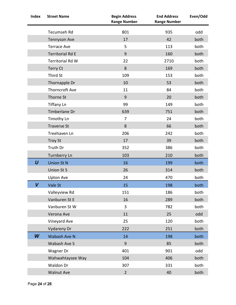| <b>Index</b>     | <b>Street Name</b>      | <b>Begin Address</b><br><b>Range Number</b> | <b>End Address</b><br><b>Range Number</b> | Even/Odd |
|------------------|-------------------------|---------------------------------------------|-------------------------------------------|----------|
|                  | Tecumseh Rd             | 801                                         | 935                                       | odd      |
|                  | <b>Tennyson Ave</b>     | 17                                          | 42                                        | both     |
|                  | <b>Terrace Ave</b>      | 5                                           | 113                                       | both     |
|                  | <b>Territorial Rd E</b> | $\overline{9}$                              | 160                                       | both     |
|                  | Territorial Rd W        | 22                                          | 2710                                      | both     |
|                  | <b>Terry Ct</b>         | 8                                           | 169                                       | both     |
|                  | Third St                | 109                                         | 153                                       | both     |
|                  | Thornapple Dr           | 10                                          | 53                                        | both     |
|                  | Thorncroft Ave          | 11                                          | 84                                        | both     |
|                  | Thorne St               | 9                                           | 20                                        | both     |
|                  | <b>Tiffany Ln</b>       | 99                                          | 149                                       | both     |
|                  | Timberlane Dr           | 639                                         | 751                                       | both     |
|                  | Timothy Ln              | $\overline{7}$                              | 24                                        | both     |
|                  | <b>Traverse St</b>      | 8                                           | 66                                        | both     |
|                  | Treehaven Ln            | 206                                         | 242                                       | both     |
|                  | <b>Troy St</b>          | 17                                          | 39                                        | both     |
|                  | Truth Dr                | 352                                         | 386                                       | both     |
|                  | Turnberry Ln            | 103                                         | 210                                       | both     |
| $\boldsymbol{U}$ | <b>Union St N</b>       | 16                                          | 199                                       | both     |
|                  | Union St S              | 26                                          | 314                                       | both     |
|                  | Upton Ave               | 24                                          | 470                                       | both     |
| V                | Vale St                 | 15                                          | 198                                       | both     |
|                  | Valleyview Rd           | 151                                         | 186                                       | both     |
|                  | Vanburen St E           | 16                                          | 289                                       | both     |
|                  | Vanburen St W           | 3                                           | 782                                       | both     |
|                  | Verona Ave              | 11                                          | 25                                        | odd      |
|                  | Vineyard Ave            | 25                                          | 120                                       | both     |
|                  | <b>Vydareny Dr</b>      | 222                                         | 251                                       | both     |
| W                | <b>Wabash Ave N</b>     | 14                                          | 198                                       | both     |
|                  | Wabash Ave S            | $\overline{9}$                              | 85                                        | both     |
|                  | Wagner Dr               | 401                                         | 901                                       | odd      |
|                  | Wahwahtaysee Way        | 104                                         | 406                                       | both     |
|                  | Waldon Dr               | 307                                         | 331                                       | both     |
|                  | <b>Walnut Ave</b>       | $\overline{2}$                              | 40                                        | both     |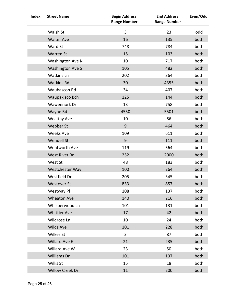| <b>Index</b> | <b>Street Name</b>      | <b>Begin Address</b><br><b>Range Number</b> | <b>End Address</b><br><b>Range Number</b> | Even/Odd |
|--------------|-------------------------|---------------------------------------------|-------------------------------------------|----------|
|              | Walsh St                | 3                                           | 23                                        | odd      |
|              | <b>Walter Ave</b>       | 16                                          | 135                                       | both     |
|              | Ward St                 | 748                                         | 784                                       | both     |
|              | Warren St               | 15                                          | 103                                       | both     |
|              | Washington Ave N        | 10                                          | 717                                       | both     |
|              | <b>Washington Ave S</b> | 105                                         | 482                                       | both     |
|              | <b>Watkins Ln</b>       | 202                                         | 364                                       | both     |
|              | <b>Watkins Rd</b>       | 30                                          | 4355                                      | both     |
|              | Waubascon Rd            | 34                                          | 407                                       | both     |
|              | Waupakisco Bch          | 125                                         | 144                                       | both     |
|              | Waweenork Dr            | 13                                          | 758                                       | both     |
|              | Wayne Rd                | 4550                                        | 5501                                      | both     |
|              | <b>Wealthy Ave</b>      | 10                                          | 86                                        | both     |
|              | Webber St               | $\overline{9}$                              | 464                                       | both     |
|              | <b>Weeks Ave</b>        | 109                                         | 611                                       | both     |
|              | Wendell St              | 9                                           | 111                                       | both     |
|              | Wentworth Ave           | 119                                         | 564                                       | both     |
|              | West River Rd           | 252                                         | 2000                                      | both     |
|              | West St                 | 48                                          | 183                                       | both     |
|              | Westchester Way         | 100                                         | 264                                       | both     |
|              | Westfield Dr            | 205                                         | 345                                       | both     |
|              | <b>Westover St</b>      | 833                                         | 857                                       | both     |
|              | Westway Pl              | 108                                         | 137                                       | both     |
|              | <b>Wheaton Ave</b>      | 140                                         | 216                                       | both     |
|              | Whisperwood Ln          | 101                                         | 131                                       | both     |
|              | <b>Whittier Ave</b>     | 17                                          | 42                                        | both     |
|              | Wildrose Ln             | 10                                          | 24                                        | both     |
|              | Wilds Ave               | 101                                         | 228                                       | both     |
|              | Wilkes St               | 3                                           | 87                                        | both     |
|              | Willard Ave E           | 21                                          | 235                                       | both     |
|              | Willard Ave W           | 23                                          | 50                                        | both     |
|              | <b>Williams Dr</b>      | 101                                         | 137                                       | both     |
|              | Willis St               | 15                                          | 18                                        | both     |
|              | Willow Creek Dr         | 11                                          | 200                                       | both     |